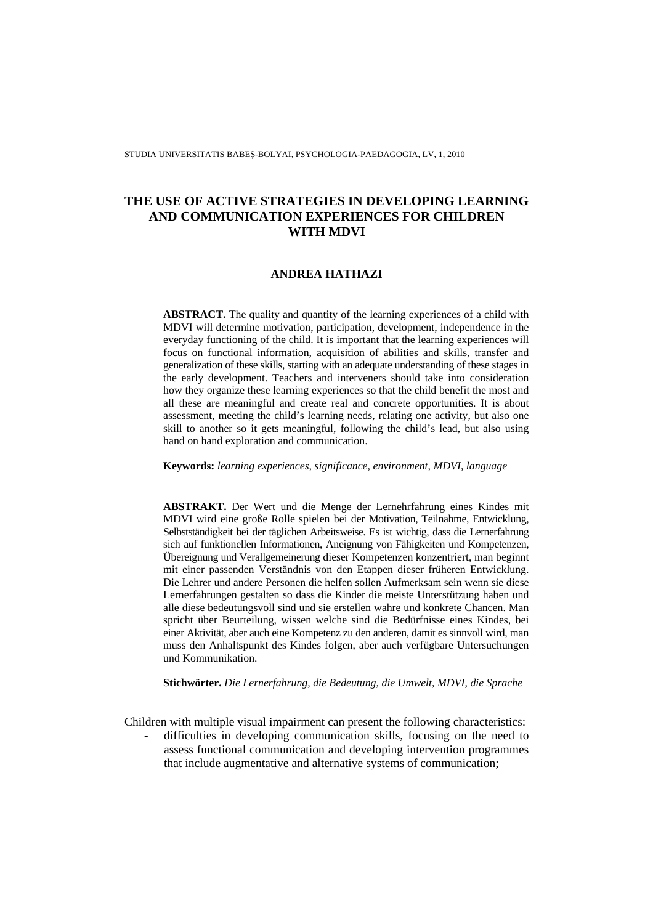STUDIA UNIVERSITATIS BABEŞ-BOLYAI, PSYCHOLOGIA-PAEDAGOGIA, LV, 1, 2010

# **THE USE OF ACTIVE STRATEGIES IN DEVELOPING LEARNING AND COMMUNICATION EXPERIENCES FOR CHILDREN WITH MDVI**

## **ANDREA HATHAZI**

**ABSTRACT.** The quality and quantity of the learning experiences of a child with MDVI will determine motivation, participation, development, independence in the everyday functioning of the child. It is important that the learning experiences will focus on functional information, acquisition of abilities and skills, transfer and generalization of these skills, starting with an adequate understanding of these stages in the early development. Teachers and interveners should take into consideration how they organize these learning experiences so that the child benefit the most and all these are meaningful and create real and concrete opportunities. It is about assessment, meeting the child's learning needs, relating one activity, but also one skill to another so it gets meaningful, following the child's lead, but also using hand on hand exploration and communication.

**Keywords:** *learning experiences, significance, environment, MDVI, language*

**ABSTRAKT.** Der Wert und die Menge der Lernehrfahrung eines Kindes mit MDVI wird eine große Rolle spielen bei der Motivation, Teilnahme, Entwicklung, Selbstständigkeit bei der täglichen Arbeitsweise. Es ist wichtig, dass die Lernerfahrung sich auf funktionellen Informationen, Aneignung von Fähigkeiten und Kompetenzen, Übereignung und Verallgemeinerung dieser Kompetenzen konzentriert, man beginnt mit einer passenden Verständnis von den Etappen dieser früheren Entwicklung. Die Lehrer und andere Personen die helfen sollen Aufmerksam sein wenn sie diese Lernerfahrungen gestalten so dass die Kinder die meiste Unterstützung haben und alle diese bedeutungsvoll sind und sie erstellen wahre und konkrete Chancen. Man spricht über Beurteilung, wissen welche sind die Bedürfnisse eines Kindes, bei einer Aktivität, aber auch eine Kompetenz zu den anderen, damit es sinnvoll wird, man muss den Anhaltspunkt des Kindes folgen, aber auch verfügbare Untersuchungen und Kommunikation.

**Stichwörter.** *Die Lernerfahrung, die Bedeutung, die Umwelt, MDVI, die Sprache*

Children with multiple visual impairment can present the following characteristics:

- difficulties in developing communication skills, focusing on the need to assess functional communication and developing intervention programmes that include augmentative and alternative systems of communication;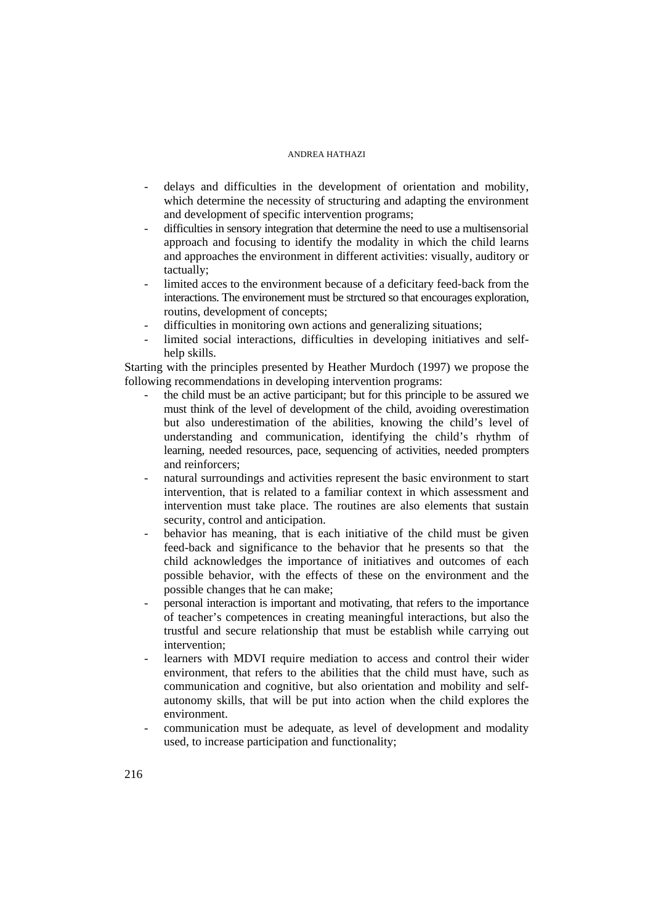- delays and difficulties in the development of orientation and mobility, which determine the necessity of structuring and adapting the environment and development of specific intervention programs;
- difficulties in sensory integration that determine the need to use a multisensorial approach and focusing to identify the modality in which the child learns and approaches the environment in different activities: visually, auditory or tactually;
- limited acces to the environment because of a deficitary feed-back from the interactions. The environement must be strctured so that encourages exploration, routins, development of concepts;
- difficulties in monitoring own actions and generalizing situations;
- limited social interactions, difficulties in developing initiatives and selfhelp skills.

Starting with the principles presented by Heather Murdoch (1997) we propose the following recommendations in developing intervention programs:

- the child must be an active participant; but for this principle to be assured we must think of the level of development of the child, avoiding overestimation but also underestimation of the abilities, knowing the child's level of understanding and communication, identifying the child's rhythm of learning, needed resources, pace, sequencing of activities, needed prompters and reinforcers;
- natural surroundings and activities represent the basic environment to start intervention, that is related to a familiar context in which assessment and intervention must take place. The routines are also elements that sustain security, control and anticipation.
- behavior has meaning, that is each initiative of the child must be given feed-back and significance to the behavior that he presents so that the child acknowledges the importance of initiatives and outcomes of each possible behavior, with the effects of these on the environment and the possible changes that he can make;
- personal interaction is important and motivating, that refers to the importance of teacher's competences in creating meaningful interactions, but also the trustful and secure relationship that must be establish while carrying out intervention;
- learners with MDVI require mediation to access and control their wider environment, that refers to the abilities that the child must have, such as communication and cognitive, but also orientation and mobility and selfautonomy skills, that will be put into action when the child explores the environment.
- communication must be adequate, as level of development and modality used, to increase participation and functionality;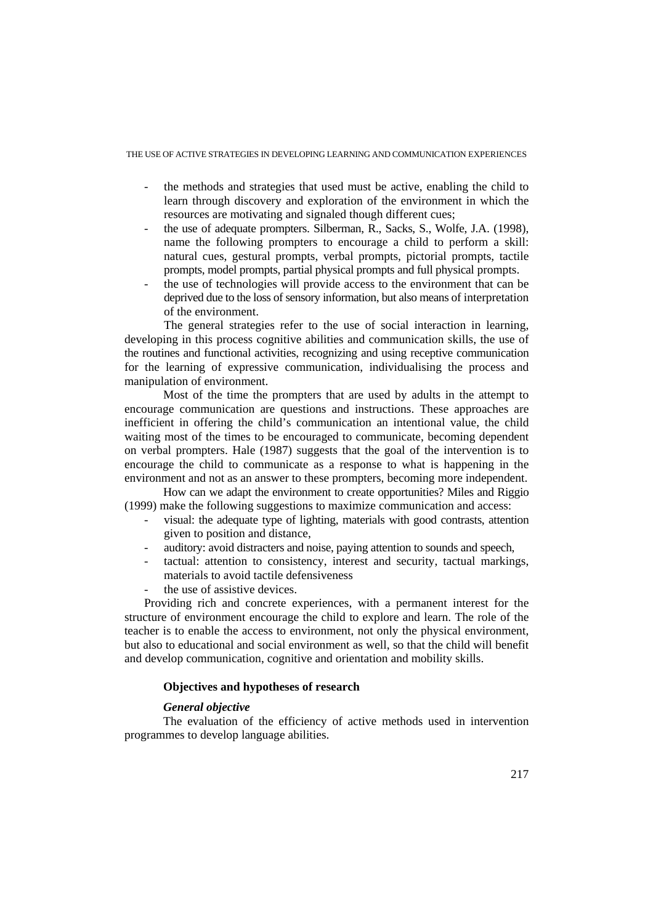THE USE OF ACTIVE STRATEGIES IN DEVELOPING LEARNING AND COMMUNICATION EXPERIENCES

- the methods and strategies that used must be active, enabling the child to learn through discovery and exploration of the environment in which the resources are motivating and signaled though different cues;
- the use of adequate prompters. Silberman, R., Sacks, S., Wolfe, J.A. (1998), name the following prompters to encourage a child to perform a skill: natural cues, gestural prompts, verbal prompts, pictorial prompts, tactile prompts, model prompts, partial physical prompts and full physical prompts.
- the use of technologies will provide access to the environment that can be deprived due to the loss of sensory information, but also means of interpretation of the environment.

The general strategies refer to the use of social interaction in learning, developing in this process cognitive abilities and communication skills, the use of the routines and functional activities, recognizing and using receptive communication for the learning of expressive communication, individualising the process and manipulation of environment.

Most of the time the prompters that are used by adults in the attempt to encourage communication are questions and instructions. These approaches are inefficient in offering the child's communication an intentional value, the child waiting most of the times to be encouraged to communicate, becoming dependent on verbal prompters. Hale (1987) suggests that the goal of the intervention is to encourage the child to communicate as a response to what is happening in the environment and not as an answer to these prompters, becoming more independent.

 How can we adapt the environment to create opportunities? Miles and Riggio (1999) make the following suggestions to maximize communication and access:

- visual: the adequate type of lighting, materials with good contrasts, attention given to position and distance,
- auditory: avoid distracters and noise, paying attention to sounds and speech,
- tactual: attention to consistency, interest and security, tactual markings, materials to avoid tactile defensiveness
- the use of assistive devices.

Providing rich and concrete experiences, with a permanent interest for the structure of environment encourage the child to explore and learn. The role of the teacher is to enable the access to environment, not only the physical environment, but also to educational and social environment as well, so that the child will benefit and develop communication, cognitive and orientation and mobility skills.

## **Objectives and hypotheses of research**

# *General objective*

 The evaluation of the efficiency of active methods used in intervention programmes to develop language abilities.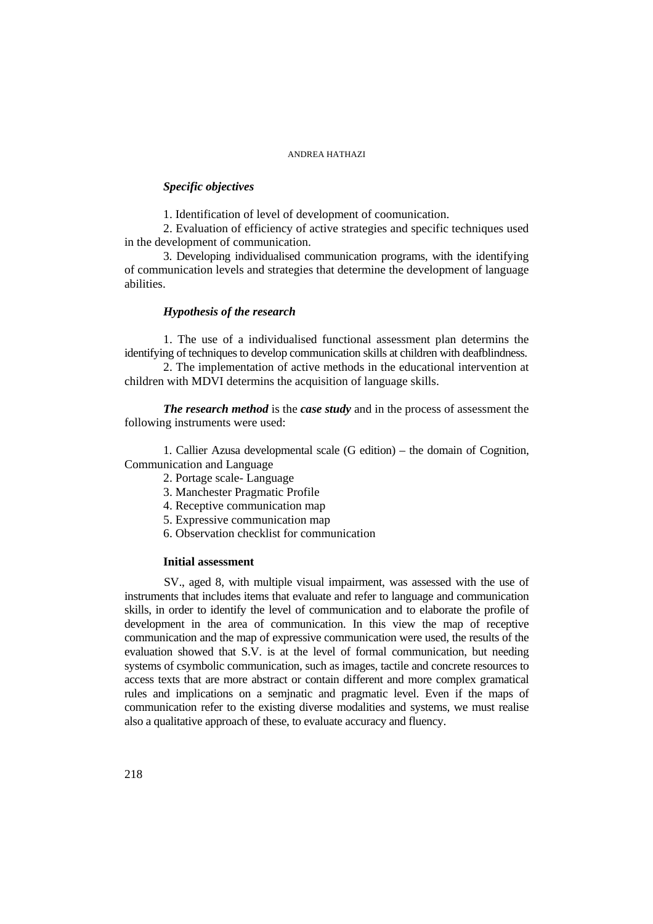# *Specific objectives*

1. Identification of level of development of coomunication.

2. Evaluation of efficiency of active strategies and specific techniques used in the development of communication.

3. Developing individualised communication programs, with the identifying of communication levels and strategies that determine the development of language abilities.

## *Hypothesis of the research*

1. The use of a individualised functional assessment plan determins the identifying of techniques to develop communication skills at children with deafblindness.

2. The implementation of active methods in the educational intervention at children with MDVI determins the acquisition of language skills.

*The research method* is the *case study* and in the process of assessment the following instruments were used:

1. Callier Azusa developmental scale (G edition) – the domain of Cognition, Communication and Language

- 2. Portage scale- Language
- 3. Manchester Pragmatic Profile
- 4. Receptive communication map
- 5. Expressive communication map
- 6. Observation checklist for communication

# **Initial assessment**

SV., aged 8, with multiple visual impairment, was assessed with the use of instruments that includes items that evaluate and refer to language and communication skills, in order to identify the level of communication and to elaborate the profile of development in the area of communication. In this view the map of receptive communication and the map of expressive communication were used, the results of the evaluation showed that S.V. is at the level of formal communication, but needing systems of csymbolic communication, such as images, tactile and concrete resources to access texts that are more abstract or contain different and more complex gramatical rules and implications on a semjnatic and pragmatic level. Even if the maps of communication refer to the existing diverse modalities and systems, we must realise also a qualitative approach of these, to evaluate accuracy and fluency.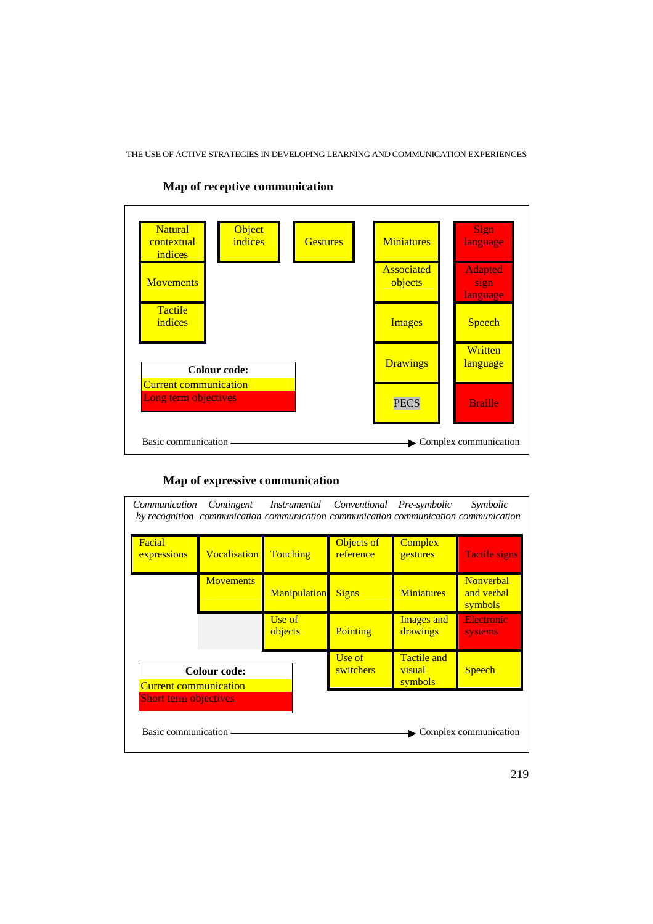THE USE OF ACTIVE STRATEGIES IN DEVELOPING LEARNING AND COMMUNICATION EXPERIENCES



# **Map of receptive communication**

# **Map of expressive communication**

| Communication Contingent Instrumental Conventional Pre-symbolic<br>Symbolic<br>by recognition communication communication communication communication communication |                     |                     |                         |                                         |                                           |
|---------------------------------------------------------------------------------------------------------------------------------------------------------------------|---------------------|---------------------|-------------------------|-----------------------------------------|-------------------------------------------|
| Facial<br>expressions                                                                                                                                               | <b>Vocalisation</b> | <b>Touching</b>     | Objects of<br>reference | <b>Complex</b><br>gestures              | <b>Tactile signs</b>                      |
|                                                                                                                                                                     | <b>Movements</b>    | <b>Manipulation</b> | <b>Signs</b>            | <b>Miniatures</b>                       | <b>Nonverbal</b><br>and verbal<br>symbols |
|                                                                                                                                                                     |                     | Use of<br>objects   | Pointing                | <b>Images and</b><br>drawings           | <b>Electronic</b><br>systems              |
| <b>Colour code:</b><br><b>Current communication</b>                                                                                                                 |                     |                     | Use of<br>switchers     | <b>Tactile and</b><br>visual<br>symbols | <b>Speech</b>                             |
| <b>Short term objectives</b>                                                                                                                                        |                     |                     |                         |                                         |                                           |
| Basic communication -<br>Complex communication                                                                                                                      |                     |                     |                         |                                         |                                           |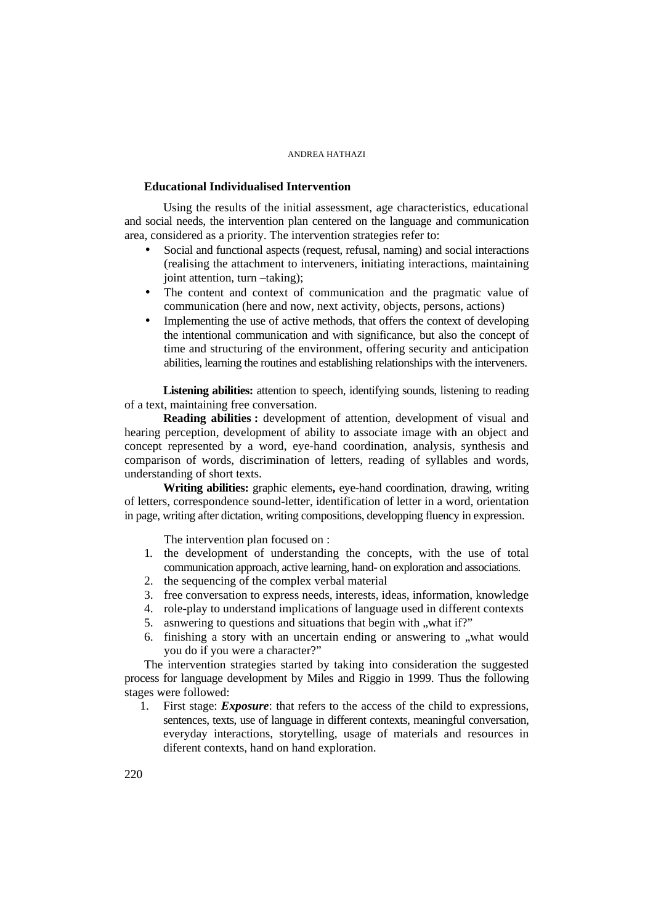# **Educational Individualised Intervention**

 Using the results of the initial assessment, age characteristics, educational and social needs, the intervention plan centered on the language and communication area, considered as a priority. The intervention strategies refer to:

- Social and functional aspects (request, refusal, naming) and social interactions (realising the attachment to interveners, initiating interactions, maintaining joint attention, turn –taking);
- The content and context of communication and the pragmatic value of communication (here and now, next activity, objects, persons, actions)
- Implementing the use of active methods, that offers the context of developing the intentional communication and with significance, but also the concept of time and structuring of the environment, offering security and anticipation abilities, learning the routines and establishing relationships with the interveners.

 **Listening abilities:** attention to speech, identifying sounds, listening to reading of a text, maintaining free conversation.

**Reading abilities :** development of attention, development of visual and hearing perception, development of ability to associate image with an object and concept represented by a word, eye-hand coordination, analysis, synthesis and comparison of words, discrimination of letters, reading of syllables and words, understanding of short texts.

 **Writing abilities:** graphic elements**,** eye-hand coordination, drawing, writing of letters, correspondence sound-letter, identification of letter in a word, orientation in page, writing after dictation, writing compositions, developping fluency in expression.

The intervention plan focused on :

- 1. the development of understanding the concepts, with the use of total communication approach, active learning, hand- on exploration and associations.
- 2. the sequencing of the complex verbal material
- 3. free conversation to express needs, interests, ideas, information, knowledge
- 4. role-play to understand implications of language used in different contexts
- 5. asnwering to questions and situations that begin with "what if?"
- 6. finishing a story with an uncertain ending or answering to "what would you do if you were a character?"

The intervention strategies started by taking into consideration the suggested process for language development by Miles and Riggio in 1999. Thus the following stages were followed:

1. First stage: *Exposure*: that refers to the access of the child to expressions, sentences, texts, use of language in different contexts, meaningful conversation, everyday interactions, storytelling, usage of materials and resources in diferent contexts, hand on hand exploration.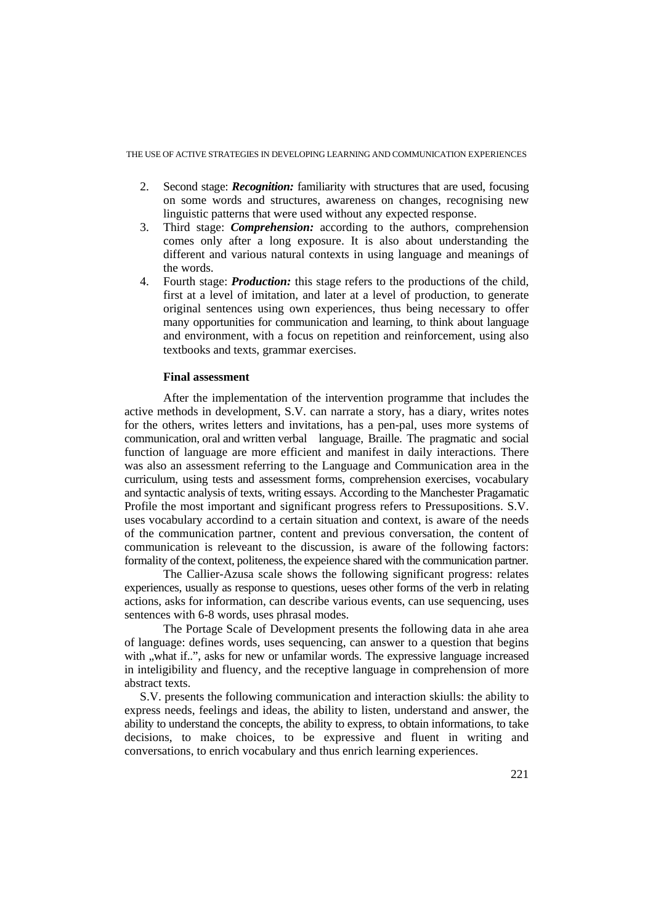THE USE OF ACTIVE STRATEGIES IN DEVELOPING LEARNING AND COMMUNICATION EXPERIENCES

- 2. Second stage: *Recognition:* familiarity with structures that are used, focusing on some words and structures, awareness on changes, recognising new linguistic patterns that were used without any expected response.
- 3. Third stage: *Comprehension:* according to the authors, comprehension comes only after a long exposure. It is also about understanding the different and various natural contexts in using language and meanings of the words.
- 4. Fourth stage: *Production:* this stage refers to the productions of the child, first at a level of imitation, and later at a level of production, to generate original sentences using own experiences, thus being necessary to offer many opportunities for communication and learning, to think about language and environment, with a focus on repetition and reinforcement, using also textbooks and texts, grammar exercises.

# **Final assessment**

After the implementation of the intervention programme that includes the active methods in development, S.V. can narrate a story, has a diary, writes notes for the others, writes letters and invitations, has a pen-pal, uses more systems of communication, oral and written verbal language, Braille. The pragmatic and social function of language are more efficient and manifest in daily interactions. There was also an assessment referring to the Language and Communication area in the curriculum, using tests and assessment forms, comprehension exercises, vocabulary and syntactic analysis of texts, writing essays. According to the Manchester Pragamatic Profile the most important and significant progress refers to Pressupositions. S.V. uses vocabulary accordind to a certain situation and context, is aware of the needs of the communication partner, content and previous conversation, the content of communication is releveant to the discussion, is aware of the following factors: formality of the context, politeness, the expeience shared with the communication partner.

The Callier-Azusa scale shows the following significant progress: relates experiences, usually as response to questions, ueses other forms of the verb in relating actions, asks for information, can describe various events, can use sequencing, uses sentences with 6-8 words, uses phrasal modes.

 The Portage Scale of Development presents the following data in ahe area of language: defines words, uses sequencing, can answer to a question that begins with ..what if...", asks for new or unfamilar words. The expressive language increased in inteligibility and fluency, and the receptive language in comprehension of more abstract texts.

S.V. presents the following communication and interaction skiulls: the ability to express needs, feelings and ideas, the ability to listen, understand and answer, the ability to understand the concepts, the ability to express, to obtain informations, to take decisions, to make choices, to be expressive and fluent in writing and conversations, to enrich vocabulary and thus enrich learning experiences.